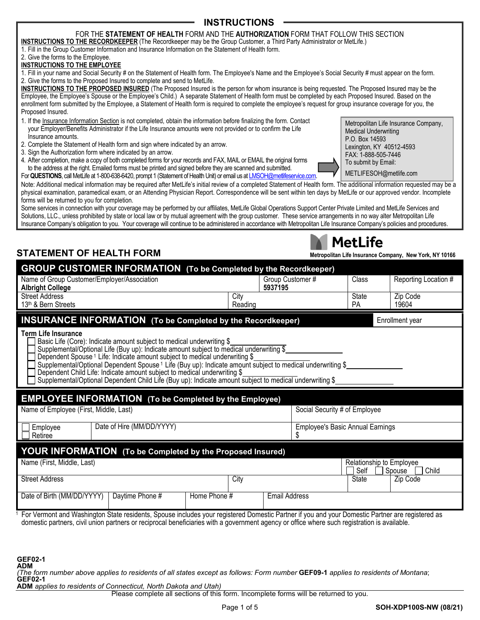## **INSTRUCTIONS**

### FOR THE **STATEMENT OF HEALTH** FORM AND THE **AUTHORIZATION** FORM THAT FOLLOW THIS SECTION

**INSTRUCTIONS TO THE RECORDKEEPER** (The Recordkeeper may be the Group Customer, a Third Party Administrator or MetLife.) 1. Fill in the Group Customer Information and Insurance Information on the Statement of Health form.

2. Give the forms to the Employee.

### **INSTRUCTIONS TO THE EMPLOYEE**

1. Fill in your name and Social Security # on the Statement of Health form. The Employee's Name and the Employee's Social Security # must appear on the form. 2. Give the forms to the Proposed Insured to complete and send to MetLife.

**INSTRUCTIONS TO THE PROPOSED INSURED** (The Proposed Insured is the person for whom insurance is being requested. The Proposed Insured may be the Employee, the Employee's Spouse or the Employee's Child.) A separate Statement of Health form must be completed by each Proposed Insured. Based on the enrollment form submitted by the Employee, a Statement of Health form is required to complete the employee's request for group insurance coverage for you, the Proposed Insured.

- 1. If the Insurance Information Section is not completed, obtain the information before finalizing the form. Contact your Employer/Benefits Administrator if the Life Insurance amounts were not provided or to confirm the Life Insurance amounts.
- 2. Complete the Statement of Health form and sign where indicated by an arrow.
- 3. Sign the Authorization form where indicated by an arrow.
- 4. After completion, make a copy of both completed forms for your records and FAX, MAIL or EMAIL the original forms to the address at the right. Emailed forms must be printed and signed before they are scanned and submitted.
- For **QUESTIONS**, call MetLife at 1-800-638-6420, prompt 1 (Statement of Health Unit) or email us at *LMSOH@metlifeservice.com*.

Note: Additional medical information may be required after MetLife's initial review of a completed Statement of Health form. The additional information requested may be a physical examination, paramedical exam, or an Attending Physician Report. Correspondence will be sent within ten days by MetLife or our approved vendor. Incomplete forms will be returned to you for completion.

Some services in connection with your coverage may be performed by our affiliates, MetLife Global Operations Support Center Private Limited and MetLife Services and Solutions, LLC., unless prohibited by state or local law or by mutual agreement with the group customer. These service arrangements in no way alter Metropolitan Life Insurance Company's obligation to you. Your coverage will continue to be administered in accordance with Metropolitan Life Insurance Company's policies and procedures.

# **STATEMENT OF HEALTH FORM Metropolitan Life Insurance Company, New York, NY 10166**

| <b>GROUP CUSTOMER INFORMATION</b> (To be Completed by the Recordkeeper)                                                                                                                                                                                                                                                                                                                                                                                                                                                                                                                       |                      |                                         |                           |                      |
|-----------------------------------------------------------------------------------------------------------------------------------------------------------------------------------------------------------------------------------------------------------------------------------------------------------------------------------------------------------------------------------------------------------------------------------------------------------------------------------------------------------------------------------------------------------------------------------------------|----------------------|-----------------------------------------|---------------------------|----------------------|
| Name of Group Customer/Employer/Association<br><b>Albright College</b>                                                                                                                                                                                                                                                                                                                                                                                                                                                                                                                        | 5937195              | Group Customer #                        | Class                     | Reporting Location # |
| <b>Street Address</b><br>13th & Bern Streets                                                                                                                                                                                                                                                                                                                                                                                                                                                                                                                                                  | City<br>Reading      |                                         | <b>State</b><br><b>PA</b> | Zip Code<br>19604    |
| <b>INSURANCE INFORMATION</b> (To be Completed by the Recordkeeper)                                                                                                                                                                                                                                                                                                                                                                                                                                                                                                                            |                      |                                         |                           | Enrollment year      |
| <b>Term Life Insurance</b><br>Basic Life (Core): Indicate amount subject to medical underwriting \$<br>Supplemental/Optional Life (Buy up): Indicate amount subject to medical underwriting \$<br>Dependent Spouse <sup>1</sup> Life: Indicate amount subject to medical underwriting \$<br>Supplemental/Optional Dependent Spouse 1 Life (Buy up): Indicate amount subject to medical underwriting \$<br>Dependent Child Life: Indicate amount subject to medical underwriting \$<br>Supplemental/Optional Dependent Child Life (Buy up): Indicate amount subject to medical underwriting \$ |                      |                                         |                           |                      |
| <b>EMPLOYEE INFORMATION</b> (To be Completed by the Employee)                                                                                                                                                                                                                                                                                                                                                                                                                                                                                                                                 |                      |                                         |                           |                      |
| Name of Employee (First, Middle, Last)<br>Social Security # of Employee                                                                                                                                                                                                                                                                                                                                                                                                                                                                                                                       |                      |                                         |                           |                      |
| Date of Hire (MM/DD/YYYY)<br>Employee<br>Retiree                                                                                                                                                                                                                                                                                                                                                                                                                                                                                                                                              |                      | <b>Employee's Basic Annual Earnings</b> |                           |                      |
| <b>YOUR INFORMATION</b> (To be Completed by the Proposed Insured)                                                                                                                                                                                                                                                                                                                                                                                                                                                                                                                             |                      |                                         |                           |                      |
| Name (First, Middle, Last)<br>Relationship to Employee<br>Child<br>Self<br>Spouse                                                                                                                                                                                                                                                                                                                                                                                                                                                                                                             |                      |                                         |                           |                      |
| <b>Street Address</b>                                                                                                                                                                                                                                                                                                                                                                                                                                                                                                                                                                         | City                 |                                         | State                     | Zip Code             |
| Date of Birth (MM/DD/YYYY)<br>Daytime Phone #<br>Home Phone #                                                                                                                                                                                                                                                                                                                                                                                                                                                                                                                                 | <b>Email Address</b> |                                         |                           |                      |
| For Vermont and Washington State residents, Spouse includes your registered Domestic Partner if you and your Domestic Partner are registered as<br>domestic partners, civil union partners or reciprocal beneficiaries with a government agency or office where such registration is available.                                                                                                                                                                                                                                                                                               |                      |                                         |                           |                      |

**GEF02-1 ADM**

*(The form number above applies to residents of all states except as follows: Form number* **GEF09-1** *applies to residents of Montana*; **GEF02-1**

**ADM** *applies to residents of Connecticut, North Dakota and Utah)*

Please complete all sections of this form. Incomplete forms will be returned to you.



| <b>TICTFIIC</b>                 |
|---------------------------------|
| politan Life Insurance Companγ. |
|                                 |

Matl ifa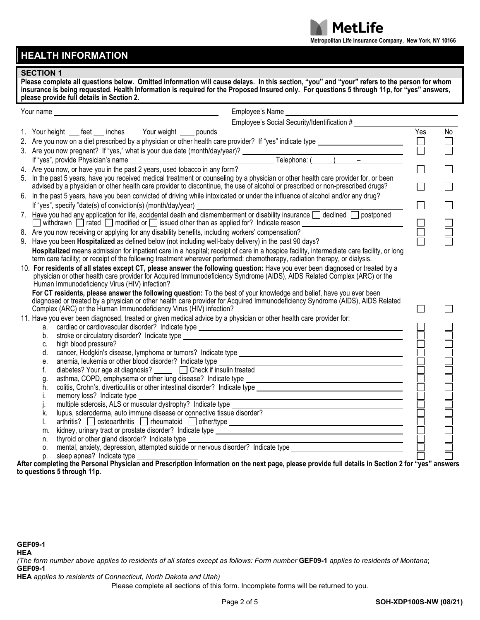

## **HEALTH INFORMATION**

### **SECTION 1**

**Please complete all questions below. Omitted information will cause delays. In this section, "you" and "your" refers to the person for whom insurance is being requested. Health Information is required for the Proposed Insured only. For questions 5 through 11p, for "yes" answers, please provide full details in Section 2.**

| Your name                                                          | Employee's Name                                                                                                                                                                                                                |        |    |  |
|--------------------------------------------------------------------|--------------------------------------------------------------------------------------------------------------------------------------------------------------------------------------------------------------------------------|--------|----|--|
|                                                                    | Employee's Social Security/Identification #                                                                                                                                                                                    |        |    |  |
|                                                                    | 1. Your height ___ feet ___ inches Your weight ____ pounds                                                                                                                                                                     | Yes    | No |  |
|                                                                    | 2. Are you now on a diet prescribed by a physician or other health care provider? If "yes" indicate type ______________________________                                                                                        |        |    |  |
|                                                                    |                                                                                                                                                                                                                                | $\Box$ |    |  |
|                                                                    |                                                                                                                                                                                                                                |        |    |  |
|                                                                    |                                                                                                                                                                                                                                |        |    |  |
|                                                                    | 5. In the past 5 years, have you received medical treatment or counseling by a physician or other health care provider for, or been                                                                                            |        |    |  |
|                                                                    | advised by a physician or other health care provider to discontinue, the use of alcohol or prescribed or non-prescribed drugs?                                                                                                 |        |    |  |
|                                                                    | 6. In the past 5 years, have you been convicted of driving while intoxicated or under the influence of alcohol and/or any drug?                                                                                                |        |    |  |
|                                                                    | If "yes", specify "date(s) of conviction(s) (month/day/year)                                                                                                                                                                   | $\Box$ |    |  |
|                                                                    | 7. Have you had any application for life, accidental death and dismemberment or disability insurance declined on postponed                                                                                                     |        |    |  |
|                                                                    | □ withdrawn □ rated □ modified or □ issued other than as applied for? Indicate reason _________________________                                                                                                                |        |    |  |
|                                                                    | 8. Are you now receiving or applying for any disability benefits, including workers' compensation?                                                                                                                             |        |    |  |
|                                                                    | 9. Have you been <b>Hospitalized</b> as defined below (not including well-baby delivery) in the past 90 days?                                                                                                                  |        |    |  |
|                                                                    | Hospitalized means admission for inpatient care in a hospital; receipt of care in a hospice facility, intermediate care facility, or long                                                                                      |        |    |  |
|                                                                    | term care facility; or receipt of the following treatment wherever performed: chemotherapy, radiation therapy, or dialysis.                                                                                                    |        |    |  |
|                                                                    | 10. For residents of all states except CT, please answer the following question: Have you ever been diagnosed or treated by a                                                                                                  |        |    |  |
|                                                                    | physician or other health care provider for Acquired Immunodeficiency Syndrome (AIDS), AIDS Related Complex (ARC) or the<br>Human Immunodeficiency Virus (HIV) infection?                                                      |        |    |  |
|                                                                    | For CT residents, please answer the following question: To the best of your knowledge and belief, have you ever been                                                                                                           |        |    |  |
|                                                                    | diagnosed or treated by a physician or other health care provider for Acquired Immunodeficiency Syndrome (AIDS), AIDS Related                                                                                                  |        |    |  |
| Complex (ARC) or the Human Immunodeficiency Virus (HIV) infection? |                                                                                                                                                                                                                                |        |    |  |
|                                                                    | 11. Have you ever been diagnosed, treated or given medical advice by a physician or other health care provider for:                                                                                                            |        |    |  |
| a.                                                                 |                                                                                                                                                                                                                                |        |    |  |
| b.                                                                 | stroke or circulatory disorder? Indicate type states are all that the state of the state of the state of the state of the state of the state of the state of the state of the state of the state of the state of the state of  |        |    |  |
| C.                                                                 | high blood pressure?                                                                                                                                                                                                           |        |    |  |
| d.                                                                 |                                                                                                                                                                                                                                |        |    |  |
| е.                                                                 | anemia, leukemia or other blood disorder? Indicate type                                                                                                                                                                        |        |    |  |
| f.                                                                 | diabetes? Your age at diagnosis? <u>□</u> □ Check if insulin treated                                                                                                                                                           |        |    |  |
| g.                                                                 | asthma, COPD, emphysema or other lung disease? Indicate type<br><u> 1989 - Johann Barn, mars eta bainar eta baina eta baina eta baina eta baina eta baina eta baina eta baina e</u>                                            |        |    |  |
| h.                                                                 |                                                                                                                                                                                                                                |        |    |  |
| i.                                                                 | memory loss? Indicate type<br><u> 1989 - Johann Stoff, Amerikaansk politiker († 1908)</u>                                                                                                                                      |        |    |  |
| j.<br>k.                                                           | lupus, scleroderma, auto immune disease or connective tissue disorder?                                                                                                                                                         |        |    |  |
| I.                                                                 |                                                                                                                                                                                                                                |        |    |  |
| m.                                                                 | arthritis? costeoarthritis reflexand to the reflexible content type content to the cost of the content of the cost of the cost of the cost of the cost of the cost of the cost of the cost of the cost of the cost of the cost |        |    |  |
| n.                                                                 |                                                                                                                                                                                                                                |        |    |  |
| 0.                                                                 |                                                                                                                                                                                                                                |        |    |  |
|                                                                    | p. sleep apnea? Indicate type $\Box$<br>If the completing the Personal Physician and Prescription Information on the next page, please provide full details in Section 2 for "yes" answers.                                    |        |    |  |
|                                                                    |                                                                                                                                                                                                                                |        |    |  |

**After completing the Personal Physician and Prescription Information on the next page, please provide full details in Section 2 for "yes" answers to questions 5 through 11p.**

*(The form number above applies to residents of all states except as follows: Form number* **GEF09-1** *applies to residents of Montana*; **GEF09-1**

**HEA** *applies to residents of Connecticut, North Dakota and Utah)*

Please complete all sections of this form. Incomplete forms will be returned to you.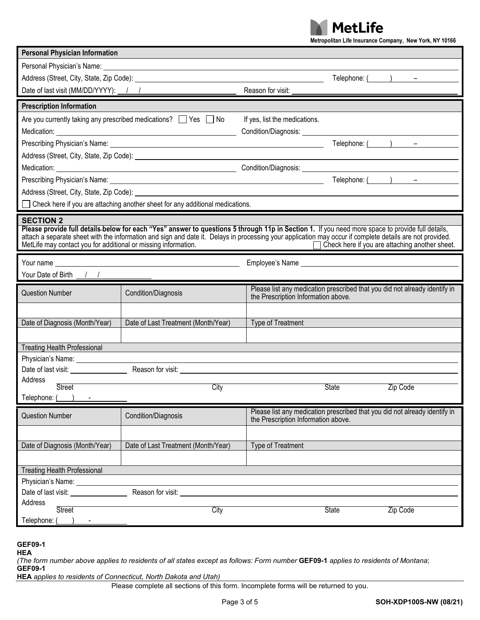**MetLife** 

|                                                                                                                                                                                                                                                                                                                                                                                                      |                                                                                                                                                                                                                                      | Metropolitan Life Insurance Company, New York, NY 10166                                                                                                                                                                                                                                                                                                        |
|------------------------------------------------------------------------------------------------------------------------------------------------------------------------------------------------------------------------------------------------------------------------------------------------------------------------------------------------------------------------------------------------------|--------------------------------------------------------------------------------------------------------------------------------------------------------------------------------------------------------------------------------------|----------------------------------------------------------------------------------------------------------------------------------------------------------------------------------------------------------------------------------------------------------------------------------------------------------------------------------------------------------------|
| <b>Personal Physician Information</b>                                                                                                                                                                                                                                                                                                                                                                |                                                                                                                                                                                                                                      |                                                                                                                                                                                                                                                                                                                                                                |
|                                                                                                                                                                                                                                                                                                                                                                                                      | Personal Physician's Name: <u>example and the set of the set of the set of the set of the set of the set of the set of the set of the set of the set of the set of the set of the set of the set of the set of the set of the se</u> |                                                                                                                                                                                                                                                                                                                                                                |
|                                                                                                                                                                                                                                                                                                                                                                                                      |                                                                                                                                                                                                                                      | Telephone: $($ $)$ $-$                                                                                                                                                                                                                                                                                                                                         |
|                                                                                                                                                                                                                                                                                                                                                                                                      | Date of last visit (MM/DD/YYYY): 1 1                                                                                                                                                                                                 | Reason for visit:                                                                                                                                                                                                                                                                                                                                              |
| <b>Prescription Information</b>                                                                                                                                                                                                                                                                                                                                                                      |                                                                                                                                                                                                                                      |                                                                                                                                                                                                                                                                                                                                                                |
|                                                                                                                                                                                                                                                                                                                                                                                                      | Are you currently taking any prescribed medications? $\Box$ Yes $\Box$ No                                                                                                                                                            | If yes, list the medications.                                                                                                                                                                                                                                                                                                                                  |
|                                                                                                                                                                                                                                                                                                                                                                                                      |                                                                                                                                                                                                                                      |                                                                                                                                                                                                                                                                                                                                                                |
|                                                                                                                                                                                                                                                                                                                                                                                                      |                                                                                                                                                                                                                                      | Telephone: $($ $)$ $-$                                                                                                                                                                                                                                                                                                                                         |
|                                                                                                                                                                                                                                                                                                                                                                                                      |                                                                                                                                                                                                                                      |                                                                                                                                                                                                                                                                                                                                                                |
|                                                                                                                                                                                                                                                                                                                                                                                                      |                                                                                                                                                                                                                                      |                                                                                                                                                                                                                                                                                                                                                                |
|                                                                                                                                                                                                                                                                                                                                                                                                      |                                                                                                                                                                                                                                      | Telephone: $($ $)$ $-$                                                                                                                                                                                                                                                                                                                                         |
|                                                                                                                                                                                                                                                                                                                                                                                                      |                                                                                                                                                                                                                                      | Address (Street, City, State, Zip Code): <u>example and the state of the state of the state of the state of the state of the state of the state of the state of the state of the state of the state of the state of the state of</u>                                                                                                                           |
|                                                                                                                                                                                                                                                                                                                                                                                                      | Check here if you are attaching another sheet for any additional medications.                                                                                                                                                        |                                                                                                                                                                                                                                                                                                                                                                |
| <b>SECTION 2</b><br>MetLife may contact you for additional or missing information.                                                                                                                                                                                                                                                                                                                   |                                                                                                                                                                                                                                      | Please provide full details-below for each "Yes" answer to questions 5 through 11p in Section 1. If you need more space to provide full details,<br>attach a separate sheet with the information and sign and date it. Delays in processing your application may occur if complete details are not provided.<br>Check here if you are attaching another sheet. |
|                                                                                                                                                                                                                                                                                                                                                                                                      |                                                                                                                                                                                                                                      | Employee's Name experience and the state of the state of the state of the state of the state of the state of the state of the state of the state of the state of the state of the state of the state of the state of the state                                                                                                                                 |
| Your Date of Birth $\frac{1}{\sqrt{1-\frac{1}{2}}}\frac{1}{\sqrt{1-\frac{1}{2}}}\frac{1}{\sqrt{1-\frac{1}{2}}\sqrt{1-\frac{1}{2}}\sqrt{1-\frac{1}{2}}\sqrt{1-\frac{1}{2}}\sqrt{1-\frac{1}{2}}\sqrt{1-\frac{1}{2}}\sqrt{1-\frac{1}{2}}\sqrt{1-\frac{1}{2}}\sqrt{1-\frac{1}{2}}\sqrt{1-\frac{1}{2}}\sqrt{1-\frac{1}{2}}\sqrt{1-\frac{1}{2}}\sqrt{1-\frac{1}{2}}\sqrt{1-\frac{1}{2}}\sqrt{1-\frac{1}{2$ |                                                                                                                                                                                                                                      |                                                                                                                                                                                                                                                                                                                                                                |
| <b>Question Number</b>                                                                                                                                                                                                                                                                                                                                                                               | Condition/Diagnosis                                                                                                                                                                                                                  | Please list any medication prescribed that you did not already identify in<br>the Prescription Information above.                                                                                                                                                                                                                                              |
|                                                                                                                                                                                                                                                                                                                                                                                                      |                                                                                                                                                                                                                                      |                                                                                                                                                                                                                                                                                                                                                                |
| Date of Diagnosis (Month/Year)                                                                                                                                                                                                                                                                                                                                                                       | Date of Last Treatment (Month/Year)                                                                                                                                                                                                  | Type of Treatment                                                                                                                                                                                                                                                                                                                                              |
|                                                                                                                                                                                                                                                                                                                                                                                                      |                                                                                                                                                                                                                                      |                                                                                                                                                                                                                                                                                                                                                                |
| <b>Treating Health Professional</b>                                                                                                                                                                                                                                                                                                                                                                  |                                                                                                                                                                                                                                      |                                                                                                                                                                                                                                                                                                                                                                |
| Date of last visit: ________________                                                                                                                                                                                                                                                                                                                                                                 |                                                                                                                                                                                                                                      |                                                                                                                                                                                                                                                                                                                                                                |
| Address                                                                                                                                                                                                                                                                                                                                                                                              |                                                                                                                                                                                                                                      |                                                                                                                                                                                                                                                                                                                                                                |
| <b>Street</b>                                                                                                                                                                                                                                                                                                                                                                                        | City                                                                                                                                                                                                                                 | State<br>Zip Code                                                                                                                                                                                                                                                                                                                                              |
| Telephone:                                                                                                                                                                                                                                                                                                                                                                                           |                                                                                                                                                                                                                                      |                                                                                                                                                                                                                                                                                                                                                                |
| <b>Question Number</b>                                                                                                                                                                                                                                                                                                                                                                               | Condition/Diagnosis                                                                                                                                                                                                                  | Please list any medication prescribed that you did not already identify in<br>the Prescription Information above.                                                                                                                                                                                                                                              |
|                                                                                                                                                                                                                                                                                                                                                                                                      |                                                                                                                                                                                                                                      |                                                                                                                                                                                                                                                                                                                                                                |
| Date of Diagnosis (Month/Year)                                                                                                                                                                                                                                                                                                                                                                       | Date of Last Treatment (Month/Year)                                                                                                                                                                                                  | <b>Type of Treatment</b>                                                                                                                                                                                                                                                                                                                                       |
|                                                                                                                                                                                                                                                                                                                                                                                                      |                                                                                                                                                                                                                                      |                                                                                                                                                                                                                                                                                                                                                                |
| <b>Treating Health Professional</b>                                                                                                                                                                                                                                                                                                                                                                  |                                                                                                                                                                                                                                      |                                                                                                                                                                                                                                                                                                                                                                |
| Physician's Name: _______________                                                                                                                                                                                                                                                                                                                                                                    |                                                                                                                                                                                                                                      |                                                                                                                                                                                                                                                                                                                                                                |
| Date of last visit: <u>contract of the set of</u>                                                                                                                                                                                                                                                                                                                                                    | Reason for visit:                                                                                                                                                                                                                    |                                                                                                                                                                                                                                                                                                                                                                |
| Address                                                                                                                                                                                                                                                                                                                                                                                              |                                                                                                                                                                                                                                      |                                                                                                                                                                                                                                                                                                                                                                |
| <b>Street</b><br>Telephone:                                                                                                                                                                                                                                                                                                                                                                          | City                                                                                                                                                                                                                                 | State<br>Zip Code                                                                                                                                                                                                                                                                                                                                              |
|                                                                                                                                                                                                                                                                                                                                                                                                      |                                                                                                                                                                                                                                      |                                                                                                                                                                                                                                                                                                                                                                |

**GEF09-1 HEA**

*(The form number above applies to residents of all states except as follows: Form number* **GEF09-1** *applies to residents of Montana*; **GEF09-1**

**HEA** *applies to residents of Connecticut, North Dakota and Utah)*

Please complete all sections of this form. Incomplete forms will be returned to you.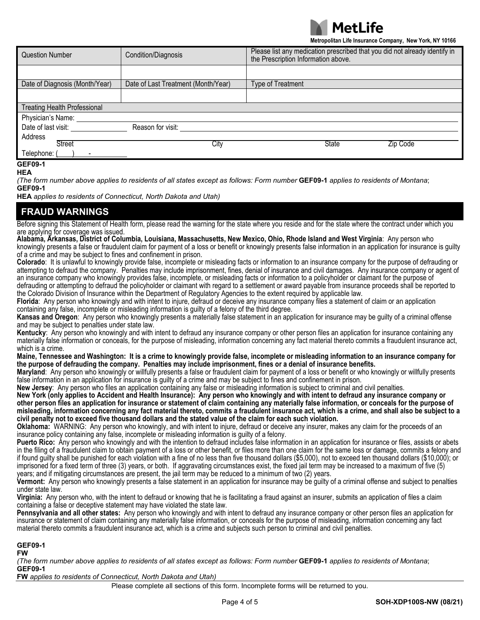

**Metropolitan Life Insurance Company, New York, NY 10166**

| <b>Question Number</b>                   | Condition/Diagnosis                 | Please list any medication prescribed that you did not already identify in<br>the Prescription Information above. |  |  |
|------------------------------------------|-------------------------------------|-------------------------------------------------------------------------------------------------------------------|--|--|
|                                          |                                     |                                                                                                                   |  |  |
| Date of Diagnosis (Month/Year)           | Date of Last Treatment (Month/Year) | Type of Treatment                                                                                                 |  |  |
|                                          |                                     |                                                                                                                   |  |  |
| <b>Treating Health Professional</b>      |                                     |                                                                                                                   |  |  |
| Physician's Name:                        |                                     |                                                                                                                   |  |  |
| Date of last visit:<br>Reason for visit: |                                     |                                                                                                                   |  |  |
| Address                                  |                                     |                                                                                                                   |  |  |
| <b>Street</b>                            | City                                | <b>State</b><br>Zip Code                                                                                          |  |  |
| Telephone: (                             |                                     |                                                                                                                   |  |  |
| <b>GEF09-1</b>                           |                                     |                                                                                                                   |  |  |

### **HEA**

*(The form number above applies to residents of all states except as follows: Form number* **GEF09-1** *applies to residents of Montana*; **GEF09-1**

**HEA** *applies to residents of Connecticut, North Dakota and Utah)*

### **FRAUD WARNINGS**

Before signing this Statement of Health form, please read the warning for the state where you reside and for the state where the contract under which you<br>are applying for coverage was issued.

are applying for coverage was issued. **Alabama, Arkansas, District of Columbia, Louisiana, Massachusetts, New Mexico, Ohio, Rhode Island and West Virginia**: Any person who knowingly presents a false or fraudulent claim for payment of a loss or benefit or knowingly presents false information in an application for insurance is guilty of a crime and may be subject to fines and confinement in prison.

**Colorado**: It is unlawful to knowingly provide false, incomplete or misleading facts or information to an insurance company for the purpose of defrauding or attempting to defraud the company. Penalties may include imprisonment, fines, denial of insurance and civil damages. Any insurance company or agent of an insurance company who knowingly provides false, incomplete, or misleading facts or information to a policyholder or claimant for the purpose of

defrauding or attempting to defraud the policyholder or claimant with regard to a settlement or award payable from insurance proceeds shall be reported to the Colorado Division of Insurance within the Department of Regulatory Agencies to the extent required by applicable law.

**Florida**: Any person who knowingly and with intent to injure, defraud or deceive any insurance company files a statement of claim or an application containing any false, incomplete or misleading information is guilty of a felony of the third degree.

**Kansas and Oregon**: Any person who knowingly presents a materially false statement in an application for insurance may be guilty of a criminal offense and may be subject to penalties under state law.

**Kentucky**: Any person who knowingly and with intent to defraud any insurance company or other person files an application for insurance containing any materially false information or conceals, for the purpose of misleading, information concerning any fact material thereto commits a fraudulent insurance act,

which is a crime.<br>Maine, Tennessee and Washington: It is a crime to knowingly provide false, incomplete or misleading information to an insurance company for **the purpose of defrauding the company. Penalties may include imprisonment, fines or a denial of insurance benefits.**

**Maryland**: Any person who knowingly or willfully presents a false or fraudulent claim for payment of a loss or benefit or who knowingly or willfully presents false information in an application for insurance is guilty of a crime and may be subject to fines and confinement in prison.

**New Jersey**: Any person who files an application containing any false or misleading information is subject to criminal and civil penalties.

**New York (only applies to Accident and Health Insurance): Any person who knowingly and with intent to defraud any insurance company or other person files an application for insurance or statement of claim containing any materially false information, or conceals for the purpose of misleading, information concerning any fact material thereto, commits a fraudulent insurance act, which is a crime, and shall also be subject to a civil penalty not to exceed five thousand dollars and the stated value of the claim for each such violation.**

**Oklahoma:** WARNING: Any person who knowingly, and with intent to injure, defraud or deceive any insurer, makes any claim for the proceeds of an insurance policy containing any false, incomplete or misleading information is guilty of a felony.

**Puerto Rico:** Any person who knowingly and with the intention to defraud includes false information in an application for insurance or files, assists or abets in the filing of a fraudulent claim to obtain payment of a loss or other benefit, or files more than one claim for the same loss or damage, commits a felony and if found guilty shall be punished for each violation with a fine of no less than five thousand dollars (\$5,000), not to exceed ten thousand dollars (\$10,000); or imprisoned for a fixed term of three (3) years, or both. If aggravating circumstances exist, the fixed jail term may be increased to a maximum of five (5) years; and if mitigating circumstances are present, the jail term may be reduced to a minimum of two (2) years.

**Vermont:** Any person who knowingly presents a false statement in an application for insurance may be guilty of a criminal offense and subject to penalties under state law.

**Virginia:** Any person who, with the intent to defraud or knowing that he is facilitating a fraud against an insurer, submits an application of files a claim containing a false or deceptive statement may have violated the state law.

**Pennsylvania and all other states:** Any person who knowingly and with intent to defraud any insurance company or other person files an application for insurance or statement of claim containing any materially false information, or conceals for the purpose of misleading, information concerning any fact material thereto commits a fraudulent insurance act, which is a crime and subjects such person to criminal and civil penalties.

### **GEF09-1**

**FW**

*(The form number above applies to residents of all states except as follows: Form number* **GEF09-1** *applies to residents of Montana*; **GEF09-1**

**FW** *applies to residents of Connecticut, North Dakota and Utah)*

Please complete all sections of this form. Incomplete forms will be returned to you.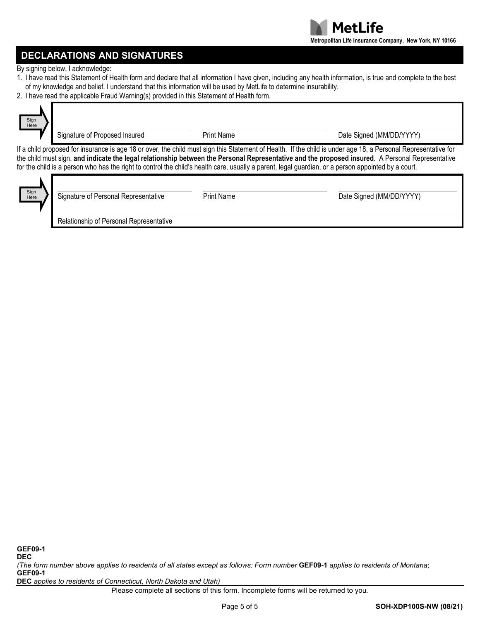

# **DECLARATIONS AND SIGNATURES**

By signing below, I acknowledge:

- 1. I have read this Statement of Health form and declare that all information I have given, including any health information, is true and complete to the best of my knowledge and belief. I understand that this information will be used by MetLife to determine insurability.
- 2. I have read the applicable Fraud Warning(s) provided in this Statement of Health form.



Signature of Proposed Insured **Proposed Insured** Print Name **Prince Signed COSE** Date Signed (MM/DD/YYYY)

If a child proposed for insurance is age 18 or over, the child must sign this Statement of Health. If the child is under age 18, a Personal Representative for the child must sign, **and indicate the legal relationship between the Personal Representative and the proposed insured**. A Personal Representative for the child is a person who has the right to control the child's health care, usually a parent, legal guardian, or a person appointed by a court.



| Signature of Personal Representative    | <b>Print Name</b> | Date Signed (MM/DD/YYYY) |
|-----------------------------------------|-------------------|--------------------------|
| Relationship of Personal Representative |                   |                          |